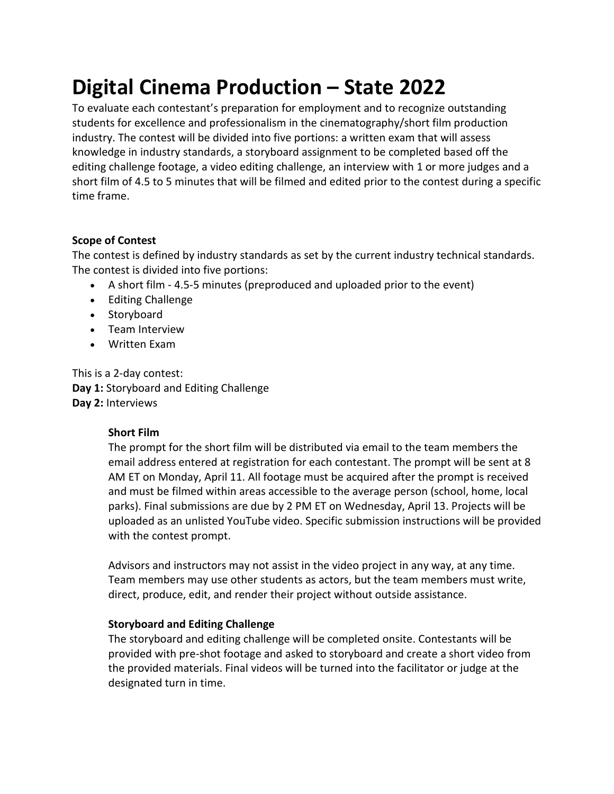# **Digital Cinema Production – State 2022**

To evaluate each contestant's preparation for employment and to recognize outstanding students for excellence and professionalism in the cinematography/short film production industry. The contest will be divided into five portions: a written exam that will assess knowledge in industry standards, a storyboard assignment to be completed based off the editing challenge footage, a video editing challenge, an interview with 1 or more judges and a short film of 4.5 to 5 minutes that will be filmed and edited prior to the contest during a specific time frame.

## **Scope of Contest**

The contest is defined by industry standards as set by the current industry technical standards. The contest is divided into five portions:

- A short film 4.5-5 minutes (preproduced and uploaded prior to the event)
- Editing Challenge
- Storyboard
- Team Interview
- Written Exam

This is a 2-day contest: **Day 1:** Storyboard and Editing Challenge **Day 2:** Interviews

## **Short Film**

The prompt for the short film will be distributed via email to the team members the email address entered at registration for each contestant. The prompt will be sent at 8 AM ET on Monday, April 11. All footage must be acquired after the prompt is received and must be filmed within areas accessible to the average person (school, home, local parks). Final submissions are due by 2 PM ET on Wednesday, April 13. Projects will be uploaded as an unlisted YouTube video. Specific submission instructions will be provided with the contest prompt.

Advisors and instructors may not assist in the video project in any way, at any time. Team members may use other students as actors, but the team members must write, direct, produce, edit, and render their project without outside assistance.

## **Storyboard and Editing Challenge**

The storyboard and editing challenge will be completed onsite. Contestants will be provided with pre-shot footage and asked to storyboard and create a short video from the provided materials. Final videos will be turned into the facilitator or judge at the designated turn in time.